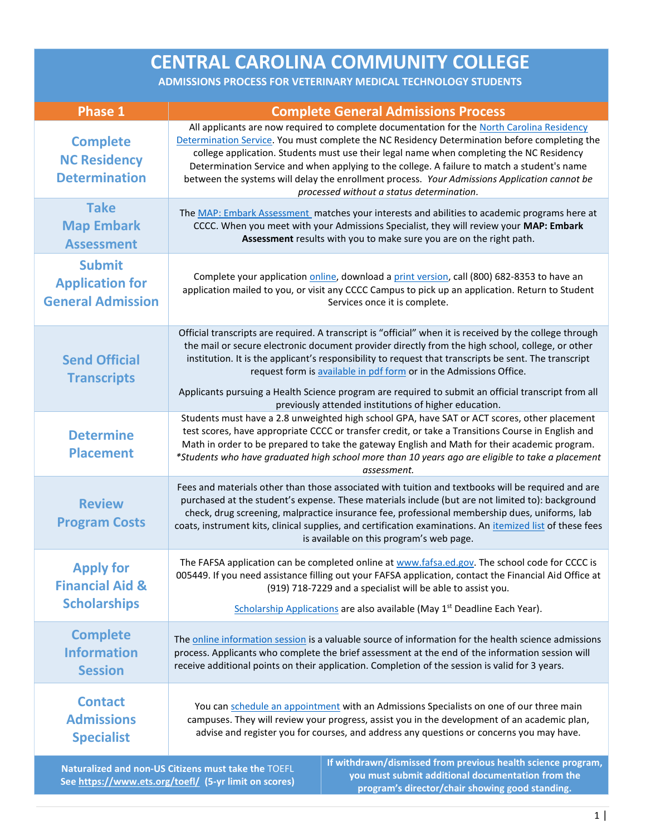| <b>CENTRAL CAROLINA COMMUNITY COLLEGE</b>                                                                                                                                                                                                                                            |                                                                                                                                                                                                                                                                                                                                                                                                                                                                                 |                                                                                                                                                                                                                                                                                                                                                                                                                                                                                                                                     |
|--------------------------------------------------------------------------------------------------------------------------------------------------------------------------------------------------------------------------------------------------------------------------------------|---------------------------------------------------------------------------------------------------------------------------------------------------------------------------------------------------------------------------------------------------------------------------------------------------------------------------------------------------------------------------------------------------------------------------------------------------------------------------------|-------------------------------------------------------------------------------------------------------------------------------------------------------------------------------------------------------------------------------------------------------------------------------------------------------------------------------------------------------------------------------------------------------------------------------------------------------------------------------------------------------------------------------------|
| ADMISSIONS PROCESS FOR VETERINARY MEDICAL TECHNOLOGY STUDENTS                                                                                                                                                                                                                        |                                                                                                                                                                                                                                                                                                                                                                                                                                                                                 |                                                                                                                                                                                                                                                                                                                                                                                                                                                                                                                                     |
| <b>Phase 1</b>                                                                                                                                                                                                                                                                       |                                                                                                                                                                                                                                                                                                                                                                                                                                                                                 | <b>Complete General Admissions Process</b>                                                                                                                                                                                                                                                                                                                                                                                                                                                                                          |
| <b>Complete</b><br><b>NC Residency</b><br><b>Determination</b>                                                                                                                                                                                                                       |                                                                                                                                                                                                                                                                                                                                                                                                                                                                                 | All applicants are now required to complete documentation for the North Carolina Residency<br>Determination Service. You must complete the NC Residency Determination before completing the<br>college application. Students must use their legal name when completing the NC Residency<br>Determination Service and when applying to the college. A failure to match a student's name<br>between the systems will delay the enrollment process. Your Admissions Application cannot be<br>processed without a status determination. |
| <b>Take</b><br><b>Map Embark</b><br><b>Assessment</b>                                                                                                                                                                                                                                |                                                                                                                                                                                                                                                                                                                                                                                                                                                                                 | The MAP: Embark Assessment matches your interests and abilities to academic programs here at<br>CCCC. When you meet with your Admissions Specialist, they will review your MAP: Embark<br>Assessment results with you to make sure you are on the right path.                                                                                                                                                                                                                                                                       |
| <b>Submit</b><br><b>Application for</b><br><b>General Admission</b>                                                                                                                                                                                                                  |                                                                                                                                                                                                                                                                                                                                                                                                                                                                                 | Complete your application online, download a print version, call (800) 682-8353 to have an<br>application mailed to you, or visit any CCCC Campus to pick up an application. Return to Student<br>Services once it is complete.                                                                                                                                                                                                                                                                                                     |
| <b>Send Official</b><br><b>Transcripts</b>                                                                                                                                                                                                                                           |                                                                                                                                                                                                                                                                                                                                                                                                                                                                                 | Official transcripts are required. A transcript is "official" when it is received by the college through<br>the mail or secure electronic document provider directly from the high school, college, or other<br>institution. It is the applicant's responsibility to request that transcripts be sent. The transcript<br>request form is available in pdf form or in the Admissions Office.<br>Applicants pursuing a Health Science program are required to submit an official transcript from all                                  |
| <b>Determine</b><br><b>Placement</b>                                                                                                                                                                                                                                                 | previously attended institutions of higher education.<br>Students must have a 2.8 unweighted high school GPA, have SAT or ACT scores, other placement<br>test scores, have appropriate CCCC or transfer credit, or take a Transitions Course in English and<br>Math in order to be prepared to take the gateway English and Math for their academic program.<br>*Students who have graduated high school more than 10 years ago are eligible to take a placement<br>assessment. |                                                                                                                                                                                                                                                                                                                                                                                                                                                                                                                                     |
| <b>Review</b><br><b>Program Costs</b>                                                                                                                                                                                                                                                | Fees and materials other than those associated with tuition and textbooks will be required and are<br>purchased at the student's expense. These materials include (but are not limited to): background<br>check, drug screening, malpractice insurance fee, professional membership dues, uniforms, lab<br>coats, instrument kits, clinical supplies, and certification examinations. An itemized list of these fees<br>is available on this program's web page.                |                                                                                                                                                                                                                                                                                                                                                                                                                                                                                                                                     |
| <b>Apply for</b><br><b>Financial Aid &amp;</b><br><b>Scholarships</b>                                                                                                                                                                                                                | The FAFSA application can be completed online at www.fafsa.ed.gov. The school code for CCCC is<br>005449. If you need assistance filling out your FAFSA application, contact the Financial Aid Office at<br>(919) 718-7229 and a specialist will be able to assist you.<br>Scholarship Applications are also available (May 1 <sup>st</sup> Deadline Each Year).                                                                                                                |                                                                                                                                                                                                                                                                                                                                                                                                                                                                                                                                     |
| <b>Complete</b><br><b>Information</b><br><b>Session</b>                                                                                                                                                                                                                              | The online information session is a valuable source of information for the health science admissions<br>process. Applicants who complete the brief assessment at the end of the information session will<br>receive additional points on their application. Completion of the session is valid for 3 years.                                                                                                                                                                     |                                                                                                                                                                                                                                                                                                                                                                                                                                                                                                                                     |
| <b>Contact</b><br><b>Admissions</b><br><b>Specialist</b>                                                                                                                                                                                                                             | You can schedule an appointment with an Admissions Specialists on one of our three main<br>campuses. They will review your progress, assist you in the development of an academic plan,<br>advise and register you for courses, and address any questions or concerns you may have.                                                                                                                                                                                             |                                                                                                                                                                                                                                                                                                                                                                                                                                                                                                                                     |
| If withdrawn/dismissed from previous health science program,<br>Naturalized and non-US Citizens must take the TOEFL<br>you must submit additional documentation from the<br>See https://www.ets.org/toefl/ (5-yr limit on scores)<br>program's director/chair showing good standing. |                                                                                                                                                                                                                                                                                                                                                                                                                                                                                 |                                                                                                                                                                                                                                                                                                                                                                                                                                                                                                                                     |